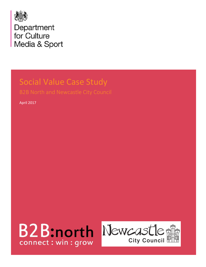

# Social Value Case Study

April 2017



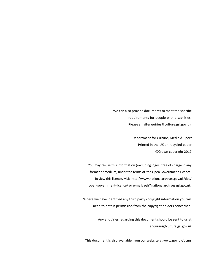We can also provide documents to meet the specific requirements for people with disabilities. Pleaseemai[lenquiries@culture.gsi.gov.uk](mailto:enquiries@culture.gsi.gov.uk)

> Department for Culture, Media & Sport Printed in the UK on recycled paper ©Crown copyright 2017

You may re-use this information (excluding logos) free of charge in any format or medium, under the terms of the Open Government Licence. To view this licence, visit <http://www.nationalarchives.gov.uk/doc/> open-government-licence/ or e-mail: [psi@nationalarchives.gsi.gov.uk.](mailto:psi@nationalarchives.gsi.gov.uk)

Where we have identified any third party copyright information you will need to obtain permission from the copyright holders concerned.

> Any enquiries regarding this document should be sent to us at [enquiries@culture.gsi.gov.uk](mailto:enquiries@culture.gsi.gov.uk)

This document is also available from our website a[t www.gov.uk/dcms](http://www.gov.uk/dcms)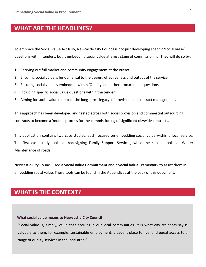## **WHAT ARE THE HEADLINES?**

To embrace the Social Value Act fully, Newcastle City Council is not just developing specific 'social value' questions within tenders, but is embedding social value at *every* stage of commissioning. They will do so by:

- 1. Carrying out full market and community engagement at the outset.
- 2. Ensuring social value is fundamental to the design, effectiveness and output of the service.
- 3. Ensuring social value is embedded within 'Quality' and other procurement questions.
- 4. Including specific social value questions within the tender.
- 5. Aiming for social value to impact the long-term 'legacy' of provision and contract management.

This approach has been developed and tested across both social provision and commercial outsourcing contracts to become a 'model' process for the commissioning of significant citywide contracts.

This publication contains two case studies, each focused on embedding social value within a local service. The first case study looks at redesigning Family Support Services, while the second looks at Winter Maintenance of roads.

Newcastle City Council used a **Social Value Commitment** and a **Social Value Framework** to assist them in embedding social value. These tools can be found in the Appendices at the back of this document.

## **WHAT IS THE CONTEXT?**

#### **What social value means to Newcastle City Council**

"Social value is, simply, value that accrues in our local communities. It is what city residents say is valuable to them, for example; sustainable employment, a decent place to live, and equal access to a range of quality services in the local area."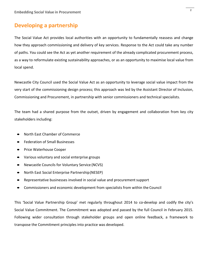### **Developing a partnership**

The Social Value Act provides local authorities with an opportunity to fundamentally reassess and change how they approach commissioning and delivery of key services. Response to the Act could take any number of paths. You could see the Act as yet another requirement of the already complicated procurement process, as a way to reformulate existing sustainability approaches, or as an opportunity to maximise local value from local spend.

Newcastle City Council used the Social Value Act as an opportunity to leverage social value impact from the very start of the commissioning design process; this approach was led by the Assistant Director of Inclusion, Commissioning and Procurement, in partnership with senior commissioners and technical specialists.

The team had a shared purpose from the outset, driven by engagement and collaboration from key city stakeholders including:

- North East Chamber of Commerce
- Federation of Small Businesses
- Price Waterhouse Cooper
- Various voluntary and social enterprise groups
- Newcastle Councils for Voluntary Service (NCVS)
- North East Social Enterprise Partnership(NESEP)
- Representative businesses involved in social value and procurement support
- Commissioners and economic development from specialists from within the Council

This 'Social Value Partnership Group' met regularly throughout 2014 to co-develop and codify the city's Social Value Commitment. The Commitment was adopted and passed by the full Council in February 2015. Following wider consultation through stakeholder groups and open online feedback, a framework to transpose the Commitment principles into practice was developed.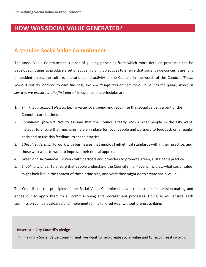## **HOW WAS SOCIAL VALUE GENERATED?**

### **A genuine Social Value Commitment**

The Social Value Commitment is a set of guiding principles from which more detailed processes can be developed. It aims to produce a set of active, guiding objectives to ensure that social value concerns are fully embedded across the culture, operations and activity of the Council. In the words of the Council, *"Social*  value is not an 'add-on' to core business; we will design and embed social value into the goods, works or *services we procure in the first place."* In essence, the principles are:

- 1. *Think, Buy, Support Newcastle*. To value local spend and recognise that social value is a part of the Council's core business.
- 2. *Community focused*. Not to assume that the Council already knows what people in the City want. Instead, to ensure that mechanisms are in place for local people and partners to feedback on a regular basis and to use this feedback to shape practice.
- 3. *Ethical leadership.* To work with businesses that employ high ethical standards within their practice, and those who want to work to improve their ethical approach.
- 4. *Green and sustainable*. To work with partners and providers to promote green, sustainablepractice.
- 5. *Enabling change*. To ensure that people understand the Council's high-level principles, what social value might look like in the context of these principles, and what they might do to create social value.

The Council use the principles of the Social Value Commitment as a touchstone for decision-making and endeavour to apply them to all commissioning and procurement processes. Doing so will ensure each commission can be evaluated and implemented in a tailored way, without pre-prescribing.

#### **Newcastle City Council's pledge**

"In making a Social Value Commitment, we want to help create social value and to recognise its worth."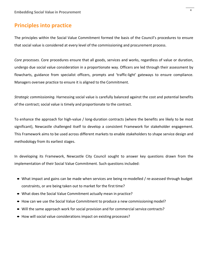### **Principles into practice**

The principles within the Social Value Commitment formed the basis of the Council's procedures to ensure that social value is considered at every level of the commissioning and procurement process.

*Core processes.* Core procedures ensure that all goods, services and works, regardless of value or duration, undergo due social value consideration in a proportionate way. Officers are led through their assessment by flowcharts, guidance from specialist officers, prompts and 'traffic-light' gateways to ensure compliance. Managers oversee practice to ensure it is aligned to the Commitment.

*Strategic commissioning.* Harnessing social value is carefully balanced against the cost and potential benefits of the contract; social value is timely and proportionate to the contract.

To enhance the approach for high-value / long-duration contracts (where the benefits are likely to be most significant), Newcastle challenged itself to develop a consistent Framework for stakeholder engagement. This Framework aims to be used across different markets to enable stakeholders to shape service design and methodology from its earliest stages.

In developing its Framework, Newcastle City Council sought to answer key questions drawn from the implementation of their Social Value Commitment. Such questions included:

- What impact and gains can be made when services are being re-modelled / re-assessed through budget constraints, or are being taken out to market for the first time?
- What does the Social Value Commitment actually mean in practice?
- How can we use the Social Value Commitment to produce a new commissioning model?
- Will the same approach work for social provision and for commercial service contracts?
- How will social value considerations impact on existing processes?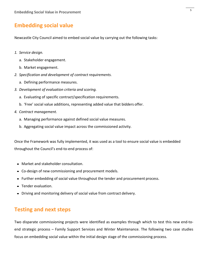## **Embedding social value**

Newcastle City Council aimed to embed social value by carrying out the following tasks:

- *1. Service design.*
	- a. Stakeholder engagement.
	- b. Market engagement.
- *2. Specification and development of contract requirements.*
	- a. Defining performance measures.
- *3. Development of evaluation criteria and scoring.*
	- a. Evaluating of specific contract/specification requirements.
	- b. 'Free' social value additions, representing added value that bidders offer.
- *4. Contract management.*
	- a. Managing performance against defined social value measures.
	- b. Aggregating social value impact across the commissioned activity.

Once the Framework was fully implemented, it was used as a tool to ensure social value is embedded throughout the Council's end-to-end process of:

- Market and stakeholder consultation.
- Co-design of new commissioning and procurement models.
- Further embedding of social value throughout the tender and procurement process.
- Tender evaluation.
- Driving and monitoring delivery of social value from contract delivery.

### **Testing and next steps**

Two disparate commissioning projects were identified as examples through which to test this new end-toend strategic process – Family Support Services and Winter Maintenance. The following two case studies focus on embedding social value within the initial design stage of the commissioning process.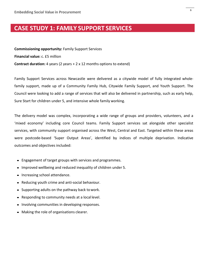## **CASE STUDY 1: FAMILY SUPPORT SERVICES**

**Commissioning opportunity:** Family Support Services **Financial value:** c. £5 million **Contract duration:** 4 years (2 years + 2 x 12 months options to extend)

Family Support Services across Newcastle were delivered as a citywide model of fully integrated wholefamily support, made up of a Community Family Hub, Citywide Family Support, and Youth Support. The Council were looking to add a range of services that will also be delivered in partnership, such as early help, Sure Start for children under 5, and intensive whole family working.

The delivery model was complex, incorporating a wide range of groups and providers, volunteers, and a 'mixed economy' including core Council teams. Family Support services sat alongside other specialist services, with community support organised across the West, Central and East. Targeted within these areas were postcode-based 'Super Output Areas', identified by indices of multiple deprivation. Indicative outcomes and objectives included:

- Engagement of target groups with services and programmes.
- Improved wellbeing and reduced inequality of children under 5.
- Increasing school attendance.
- Reducing youth crime and anti-social behaviour.
- Supporting adults on the pathway back towork.
- Responding to community needs at a local level.
- Involving communities in developing responses.
- Making the role of organisations clearer.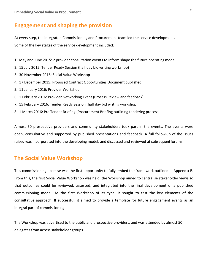## **Engagement and shaping the provision**

At every step, the integrated Commissioning and Procurement team led the service development. Some of the key stages of the service development included:

- 1. May and June 2015: 2 provider consultation events to inform shape the future operatingmodel
- 2. 15 July 2015: Tender Ready Session (half day bid writing workshop)
- 3. 30 November 2015: Social Value Workshop
- 4. 17 December 2015: Proposed Contract Opportunities Document published
- 5. 11 January 2016: Provider Workshop
- 6. 1 February 2016: Provider Networking Event (Process Review and feedback)
- 7. 15 February 2016: Tender Ready Session (half day bid writing workshop)
- 8. 1 March 2016: Pre Tender Briefing (Procurement Briefing outlining tendering process)

Almost 50 prospective providers and community stakeholders took part in the events. The events were open, consultative and supported by published presentations and feedback. A full follow-up of the issues raised was incorporated into the developing model, and discussed and reviewed at subsequentforums.

### **The Social Value Workshop**

This commissioning exercise was the first opportunity to fully embed the framework outlined in Appendix B. From this, the first Social Value Workshop was held; the Workshop aimed to centralise stakeholder views so that outcomes could be reviewed, assessed, and integrated into the final development of a published commissioning model. As the first Workshop of its type, it sought to test the key elements of the consultative approach. If successful, it aimed to provide a template for future engagement events as an integral part of commissioning.

The Workshop was advertised to the public and prospective providers, and was attended by almost 50 delegates from across stakeholder groups.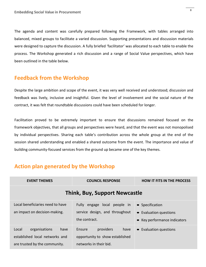The agenda and content was carefully prepared following the Framework, with tables arranged into balanced, mixed groups to facilitate a varied discussion. Supporting presentations and discussion materials were designed to capture the discussion. A fully briefed 'facilitator' was allocated to each table to enable the process. The Workshop generated a rich discussion and a range of Social Value perspectives, which have been outlined in the table below.

## **Feedback from the Workshop**

Despite the large ambition and scope of the event, it was very well received and understood; discussion and feedback was lively, inclusive and insightful. Given the level of involvement and the social nature of the contract, it was felt that roundtable discussions could have been scheduled for longer.

Facilitation proved to be extremely important to ensure that discussions remained focused on the framework objectives, that all groups and perspectives were heard, and that the event was not monopolised by individual perspectives. Sharing each table's contribution across the whole group at the end of the session shared understanding and enabled a shared outcome from the event. The importance and value of building community-focused services from the ground up became one of the key themes.

## **Action plan generated by the Workshop**

| <b>EVENT THEMES</b>                                                                               | <b>COUNCIL RESPONSE</b>                                                                  | <b>HOW IT FITS IN THE PROCESS</b>                                         |  |
|---------------------------------------------------------------------------------------------------|------------------------------------------------------------------------------------------|---------------------------------------------------------------------------|--|
| <b>Think, Buy, Support Newcastle</b>                                                              |                                                                                          |                                                                           |  |
| Local beneficiaries need to have<br>an impact on decision-making.                                 | Fully engage local people in<br>service design, and throughout<br>the contract.          | • Specification<br>• Evaluation questions<br>• Key performance indicators |  |
| Local<br>organisations<br>have<br>established local networks and<br>are trusted by the community. | providers<br>Ensure<br>have<br>opportunity to show established<br>networks in their bid. | • Evaluation questions                                                    |  |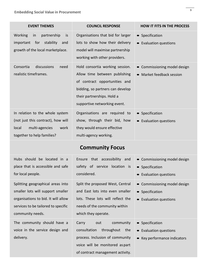delivery.

| <b>EVENT THEMES</b>                                                                                                                    | <b>COUNCIL RESPONSE</b>                                                                                                                                                                             | <b>HOW IT FITS IN THE PROCESS</b>                                               |
|----------------------------------------------------------------------------------------------------------------------------------------|-----------------------------------------------------------------------------------------------------------------------------------------------------------------------------------------------------|---------------------------------------------------------------------------------|
| <b>Working</b><br>partnership<br>in<br>is<br>for<br>stability<br>important<br>and<br>growth of the local marketplace.                  | Organisations that bid for larger<br>lots to show how their delivery<br>model will maximise partnership<br>working with other providers.                                                            | • Specification<br>Evaluation questions<br>$\bullet$                            |
| Consortia<br>discussions<br>need<br>realistic timeframes.                                                                              | Hold consortia working session.<br>Allow time between publishing<br>of contract opportunities and<br>bidding, so partners can develop<br>their partnerships. Hold a<br>supportive networking event. | Commissioning model design<br>$\bullet$<br>Market feedback session<br>$\bullet$ |
| In relation to the whole system<br>(not just this contract), how will<br>multi-agencies<br>local<br>work<br>together to help families? | Organisations are required to<br>show, through their bid, how<br>they would ensure effective<br>multi-agency working.                                                                               | Specification<br>$\bullet$<br>Evaluation questions                              |

## **Community Focus**

| Hubs should be located in a         | Ensure that accessibility and     | • Commissioning model design |
|-------------------------------------|-----------------------------------|------------------------------|
| place that is accessible and safe   | safety of service location is     | • Specification              |
| for local people.                   | considered.                       | • Evaluation questions       |
| Splitting geographical areas into   | Split the proposed West, Central  | • Commissioning model design |
| smaller lots will support smaller   | and East lots into even smaller   | • Specification              |
| organisations to bid. It will allow | lots. These lots will reflect the | • Evaluation questions       |
| services to be tailored to specific | needs of the community within     |                              |
| community needs.                    | which they operate.               |                              |
| The community should have a         | community<br>Carry<br>out         | • Specification              |
| voice in the service design and     | consultation<br>throughout<br>the | Evaluation questions         |

process. Inclusion of community

voice will be monitored aspart

of contract management activity.

• Key performance indicators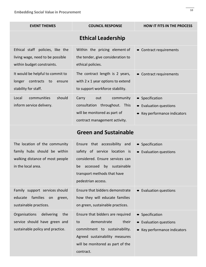| <b>EVENT THEMES</b>                                                                                                    | <b>COUNCIL RESPONSE</b>                                                                                                                                                                       | <b>HOW IT FITS IN THE PROCESS</b>                                         |  |
|------------------------------------------------------------------------------------------------------------------------|-----------------------------------------------------------------------------------------------------------------------------------------------------------------------------------------------|---------------------------------------------------------------------------|--|
|                                                                                                                        | <b>Ethical Leadership</b>                                                                                                                                                                     |                                                                           |  |
| Ethical staff policies, like the<br>living wage, need to be possible<br>within budget constraints.                     | Within the pricing element of<br>the tender, give consideration to<br>ethical policies.                                                                                                       | • Contract requirements                                                   |  |
| It would be helpful to commit to<br>longer<br>contracts to<br>ensure<br>stability for staff.                           | The contract length is 2 years,<br>with 2 x 1 year options to extend<br>to support workforce stability.                                                                                       | • Contract requirements                                                   |  |
| communities<br>should<br>Local<br>inform service delivery.                                                             | community<br>Carry<br>out<br>consultation throughout. This<br>will be monitored as part of<br>contract management activity.                                                                   | • Specification<br>• Evaluation questions<br>• Key performance indicators |  |
| <b>Green and Sustainable</b>                                                                                           |                                                                                                                                                                                               |                                                                           |  |
| The location of the community<br>family hubs should be within<br>walking distance of most people<br>in the local area. | Ensure that accessibility and<br>safety of service location is<br>considered. Ensure services can<br>sustainable<br>accessed<br>by<br>be<br>transport methods that have<br>pedestrian access. | • Specification<br>• Evaluation questions                                 |  |
| Family support services should<br>families<br>educate<br>on<br>green,<br>sustainable practices.                        | Ensure that bidders demonstrate<br>how they will educate families<br>on green, sustainable practices.                                                                                         | • Evaluation questions                                                    |  |
| Organisations<br>delivering<br>the<br>service should have green and<br>sustainable policy and practice.                | Ensure that bidders are required<br>demonstrate<br>their<br>to<br>commitment to sustainability.<br>Agreed sustainability measures<br>will be monitored as part of the<br>contract.            | • Specification<br>• Evaluation questions<br>• Key performance indicators |  |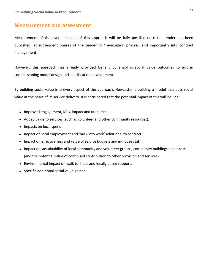#### **Measurement and assessment**

Measurement of the overall impact of this approach will be fully possible once the tender has been published, at subsequent phases of the tendering / evaluation process, and importantly into contract management.

However, this approach has already provided benefit by enabling social value outcomes to inform commissioning model design and specification development.

By building social value into every aspect of the approach, Newcastle is building a model that puts social value at the heart of its service delivery. It is anticipated that the potential impact of this will include:

- Improved engagement, KPIs, impact and outcomes.
- Added value to services (such as volunteer and other community resources).
- Impacts on local spend.
- Impact on local employment and 'back into work' additional to contract.
- Impact on effectiveness and value of service budgets and in-house staff.
- Impact on sustainability of local community and volunteer groups, community buildings and assets (and the potential value of continued contribution to other provision and services).
- Environmental impact of 'walk to' hubs and locally based support.
- Specific additional social value gained.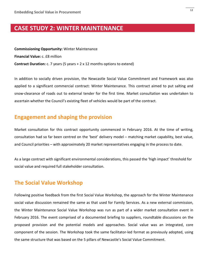## **CASE STUDY 2: WINTER MAINTENANCE**

**Commissioning Opportunity:** Winter Maintenance **Financial Value:** c. £8 million **Contract Duration:** c. 7 years (5 years + 2 x 12 months options to extend)

In addition to socially driven provision, the Newcastle Social Value Commitment and Framework was also applied to a significant commercial contract: Winter Maintenance. This contract aimed to put salting and snow-clearance of roads out to external tender for the first time. Market consultation was undertaken to ascertain whether the Council's existing fleet of vehicles would be part of the contract.

### **Engagement and shaping the provision**

Market consultation for this contract opportunity commenced in February 2016. At the time of writing, consultation had so far been centred on the 'best' delivery model – matching market capability, best value, and Council priorities – with approximately 20 market representatives engaging in the process to date.

As a large contract with significant environmental considerations, this passed the 'high impact' threshold for social value and required full stakeholder consultation.

### **The Social Value Workshop**

Following positive feedback from the first Social Value Workshop, the approach for the Winter Maintenance social value discussion remained the same as that used for Family Services. As a new external commission, the Winter Maintenance Social Value Workshop was run as part of a wider market consultation event in February 2016. The event comprised of a documented briefing to suppliers, roundtable discussions on the proposed provision and the potential models and approaches. Social value was an integrated, core component of the session. The Workshop took the same facilitator-led format as previously adopted, using the same structure that was based on the 5 pillars of Newcastle's Social Value Commitment.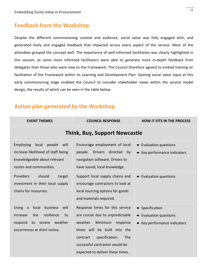### **Feedback from the Workshop**

Despite the different commissioning context and audience, social value was fully engaged with, and generated lively and engaged feedback that impacted across every aspect of the service. Most of the attendees grasped the concept well. The importance of well-informed facilitation was clearly highlighted in this session, as some more informed facilitators were able to generate more in-depth feedback from delegates than those who were new to the Framework. The Council therefore agreed to embed training on facilitation of the Framework within its Learning and Development Plan. Gaining social value input at this early commissioning stage enabled the Council to consider stakeholder views within the service model design, the results of which can be seen in the table below.

### **Action plan generated by the Workshop**

| <b>EVENT THEMES</b>                                                                                                                                                    | <b>COUNCIL RESPONSE</b>                                                                                                                                                                                                                                  | <b>HOW IT FITS IN THE PROCESS</b>                                                         |
|------------------------------------------------------------------------------------------------------------------------------------------------------------------------|----------------------------------------------------------------------------------------------------------------------------------------------------------------------------------------------------------------------------------------------------------|-------------------------------------------------------------------------------------------|
|                                                                                                                                                                        | <b>Think, Buy, Support Newcastle</b>                                                                                                                                                                                                                     |                                                                                           |
| <b>Employing</b><br>people<br>local<br>will<br>increase likelihood of staff being<br>knowledgeable about relevant<br>routes and communities.                           | Encourage employment of local<br><b>Drivers</b><br>directed<br>people.<br>by<br>navigation software. Drivers to<br>have sound, local knowledge.                                                                                                          | <b>Evaluation questions</b><br>$\bullet$<br>Key performance indicators                    |
| Providers<br>should<br>target<br>investment in their local supply<br>chains for resources.                                                                             | Support local supply chains and<br>encourage contractors to look at<br>local sourcing options for goods<br>and materials required.                                                                                                                       | <b>Evaluation questions</b>                                                               |
| business<br>local<br>will<br><b>Using</b><br>$\mathsf{a}$<br>resilience<br>the<br>increase<br>to<br>weather<br>to<br>respond<br>severe<br>occurrences at short notice. | Response times for this service<br>are crucial due to unpredictable<br>weather.<br>Minimum<br>response<br>times will be built into the<br>specification.<br><b>The</b><br>contract<br>successful contractor would be<br>expected to deliver these times. | • Specification<br><b>Evaluation questions</b><br>$\bullet$<br>Key performance indicators |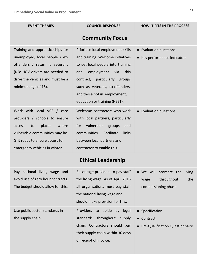| <b>EVENT THEMES</b>                                                                                                                                                                                  | <b>COUNCIL RESPONSE</b>                                                                                                                                                                                                                                                                     | <b>HOW IT FITS IN THE PROCESS</b>                                        |
|------------------------------------------------------------------------------------------------------------------------------------------------------------------------------------------------------|---------------------------------------------------------------------------------------------------------------------------------------------------------------------------------------------------------------------------------------------------------------------------------------------|--------------------------------------------------------------------------|
|                                                                                                                                                                                                      | <b>Community Focus</b>                                                                                                                                                                                                                                                                      |                                                                          |
| Training and apprenticeships for<br>unemployed, local people / ex-<br>offenders / returning veterans<br>(NB: HGV drivers are needed to<br>drive the vehicles and must be a<br>minimum age of 18).    | Prioritise local employment skills<br>and training. Welcome initiatives<br>to get local people into training<br>employment<br>this<br>and<br>via<br>particularly<br>contract,<br>groups<br>such as veterans, ex-offenders,<br>and those not in employment,<br>education or training (NEET). | <b>Evaluation questions</b><br>$\bullet$<br>• Key performance indicators |
| Work with local VCS / care<br>providers / schools to ensure<br>places<br>where<br>to<br>access<br>vulnerable communities may be.<br>Grit roads to ensure access for<br>emergency vehicles in winter. | Welcome contractors who work<br>with local partners, particularly<br>vulnerable<br>for<br>groups<br>and<br>communities.<br>Facilitate<br>links<br>between local partners and<br>contractor to enable this.<br><b>Ethical Leadership</b>                                                     | <b>Evaluation questions</b>                                              |
|                                                                                                                                                                                                      |                                                                                                                                                                                                                                                                                             |                                                                          |
| Pay national living wage and                                                                                                                                                                         | Encourage providers to pay staff                                                                                                                                                                                                                                                            | • We will promote the living                                             |

the living wage. As of April 2016

all organisations must pay staff

the national living wage and

should make provision for this.

Providers to abide by legal

standards throughout supply

chain. Contractors should pay

their supply chain within 30 days

of receipt of invoice.

| Pay national living wage and      |  |  |
|-----------------------------------|--|--|
| avoid use of zero hour contracts. |  |  |
| The budget should allow for this. |  |  |

Use public sector standards in the supply chain.

wage throughout the commissioning phase

- Specification
- Contract
- Pre-Qualification Questionnaire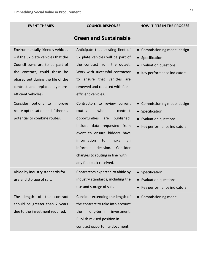| <b>EVENT THEMES</b>                                                                                                                                                                                                                     | <b>COUNCIL RESPONSE</b>                                                                                                                                                                                                                                                                               | <b>HOW IT FITS IN THE PROCESS</b>                                                                                    |  |
|-----------------------------------------------------------------------------------------------------------------------------------------------------------------------------------------------------------------------------------------|-------------------------------------------------------------------------------------------------------------------------------------------------------------------------------------------------------------------------------------------------------------------------------------------------------|----------------------------------------------------------------------------------------------------------------------|--|
| <b>Green and Sustainable</b>                                                                                                                                                                                                            |                                                                                                                                                                                                                                                                                                       |                                                                                                                      |  |
| Environmentally friendly vehicles<br>- if the 57 plate vehicles that the<br>Council owns are to be part of<br>the contract, could these be<br>phased out during the life of the<br>contract and replaced by more<br>efficient vehicles? | Anticipate that existing fleet of<br>57 plate vehicles will be part of<br>the contract from the outset.<br>Work with successful contractor<br>to ensure that vehicles are<br>renewed and replaced with fuel-<br>efficient vehicles.                                                                   | Commissioning model design<br>$\bullet$<br>• Specification<br>• Evaluation questions<br>• Key performance indicators |  |
| Consider options to improve<br>route optimisation and if there is<br>potential to combine routes.                                                                                                                                       | Contractors to review current<br>when<br>routes<br>contract<br>opportunities<br>published.<br>are<br>Include data requested from<br>event to ensure bidders have<br>information<br>make<br>to<br>an<br>informed<br>decision.<br>Consider<br>changes to routing in line with<br>any feedback received. | • Commissioning model design<br>• Specification<br>• Evaluation questions<br>• Key performance indicators            |  |
| Abide by industry standards for<br>use and storage of salt.                                                                                                                                                                             | Contractors expected to abide by<br>industry standards, including the<br>use and storage of salt.                                                                                                                                                                                                     | • Specification<br>• Evaluation questions<br>Key performance indicators                                              |  |
| length of the contract<br><b>The</b><br>should be greater than 7 years<br>due to the investment required.                                                                                                                               | Consider extending the length of<br>the contract to take into account<br>long-term<br>investment.<br>the<br>Publish revised position in<br>contract opportunity document.                                                                                                                             | Commissioning model<br>$\bullet$                                                                                     |  |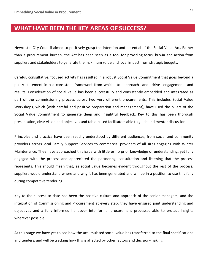## **WHAT HAVE BEEN THE KEY AREAS OF SUCCESS?**

Newcastle City Council aimed to positively grasp the intention and potential of the Social Value Act. Rather than a procurement burden, the Act has been seen as a tool for providing focus, buy-in and action from suppliers and stakeholders to generate the maximum value and local impact from strategicbudgets.

Careful, consultative, focused activity has resulted in a robust Social Value Commitment that goes beyond a policy statement into a consistent framework from which to approach and drive engagement and results. Consideration of social value has been successfully and consistently embedded and integrated as part of the commissioning process across two very different procurements. This includes Social Value Workshops, which (with careful and positive preparation and management), have used the pillars of the Social Value Commitment to generate deep and insightful feedback. Key to this has been thorough presentation, clear vision and objectives and table-based facilitators able to guide and mentor discussion.

Principles and practice have been readily understood by different audiences, from social and community providers across local Family Support Services to commercial providers of all sizes engaging with Winter Maintenance. They have approached this issue with little or no prior knowledge or understanding, yet fully engaged with the process and appreciated the partnering, consultation and listening that the process represents. This should mean that, as social value becomes evident throughout the rest of the process, suppliers would understand where and why it has been generated and will be in a position to use this fully during competitive tendering.

Key to the success to date has been the positive culture and approach of the senior managers, and the integration of Commissioning and Procurement at every step; they have ensured joint understanding and objectives and a fully informed handover into formal procurement processes able to protect insights wherever possible.

At this stage we have yet to see how the accumulated social value has transferred to the final specifications and tenders, and will be tracking how this is affected by other factors and decision-making.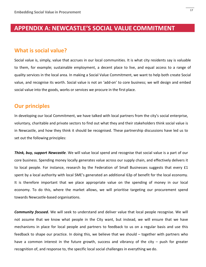## **APPENDIX A: NEWCASTLE'S SOCIAL VALUECOMMITMENT**

#### **What is social value?**

Social value is, simply, value that accrues in our local communities. It is what city residents say is valuable to them, for example; sustainable employment, a decent place to live, and equal access to a range of quality services in the local area. In making a Social Value Commitment, we want to help both create Social value, and recognise its worth. Social value is not an 'add-on' to core business; we will design and embed social value into the goods, works or services we procure in the first place.

### **Our principles**

In developing our local Commitment, we have talked with local partners from the city's social enterprise, voluntary, charitable and private sectors to find out what they and their stakeholders think social value is in Newcastle, and how they think it should be recognised. These partnership discussions have led us to set out the following principles:

*Think, buy, support Newcastle.* We will value local spend and recognise that social value is a part of our core business. Spending money locally generates value across our supply chain, and effectively delivers it to local people. For instance, research by the Federation of Small Businesses suggests that every £1 spent by a local authority with local SME's generated an additional 63p of benefit for the local economy. It is therefore important that we place appropriate value on the spending of money in our local economy. To do this, where the market allows, we will prioritise targeting our procurement spend towards Newcastle-based organisations.

*Community focused.* We will seek to understand and deliver value that local people recognise. We will not assume that we know what people in the City want, but instead, we will ensure that we have mechanisms in place for local people and partners to feedback to us on a regular basis and use this feedback to shape our practice. In doing this, we believe that we should – together with partners who have a common interest in the future growth, success and vibrancy of the city – push for greater recognition of, and response to, the specific local social challenges in everything we do.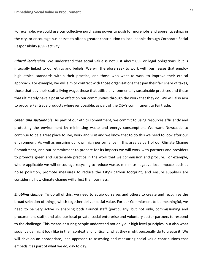For example, we could use our collective purchasing power to push for more jobs and apprenticeships in the city, or encourage businesses to offer a greater contribution to local people through Corporate Social Responsibility (CSR) activity.

*Ethical leadership.* We understand that social value is not just about CSR or legal obligations, but is integrally linked to our ethics and beliefs. We will therefore seek to work with businesses that employ high ethical standards within their practice, and those who want to work to improve their ethical approach. For example, we will aim to contract with those organisations that pay their fair share of taxes, those that pay their staff a living wage, those that utilise environmentally sustainable practices and those that ultimately have a positive effect on our communities through the work that they do. We will also aim to procure Fairtrade products wherever possible, as part of the City's commitment to Fairtrade.

*Green and sustainable.* As part of our ethics commitment, we commit to using resources efficiently and protecting the environment by minimising waste and energy consumption. We want Newcastle to continue to be a great place to live, work and visit and we know that to do this we need to look after our environment. As well as ensuring our own high performance in this area as part of our Climate Change Commitment, and our commitment to prepare for its impacts we will work with partners and providers to promote green and sustainable practice in the work that we commission and procure. For example, where applicable we will encourage recycling to reduce waste, minimise negative local impacts such as noise pollution, promote measures to reduce the City's carbon footprint, and ensure suppliers are considering how climate change will affect their business.

*Enabling change.* To do all of this, we need to equip ourselves and others to create and recognise the broad selection of things, which together deliver social value. For our Commitment to be meaningful, we need to be very active in enabling both Council staff (particularly, but not only, commissioning and procurement staff), and also our local private, social enterprise and voluntary sector partners to respond to the challenge. This means ensuring people understand not only our high level principles, but also what social value might look like in their context and, critically, what they might personally do to create it. We will develop an appropriate, lean approach to assessing and measuring social value contributions that embeds it as part of what we do, day to day.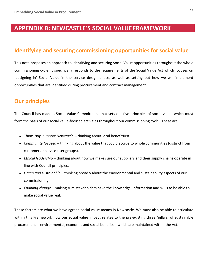## **APPENDIX B: NEWCASTLE'S SOCIAL VALUEFRAMEWORK**

## **Identifying and securing commissioning opportunities for social value**

This note proposes an approach to identifying and securing Social Value opportunities throughout the whole commissioning cycle. It specifically responds to the requirements of the Social Value Act which focuses on 'designing in' Social Value in the service design phase, as well as setting out how we will implement opportunities that are identified during procurement and contract management.

## **Our principles**

The Council has made a Social Value Commitment that sets out five principles of social value, which must form the basis of our social value-focused activities throughout our commissioning cycle. These are:

- *Think, Buy, Support Newcastle* --- thinking about local benefit first.
- *Community focused*  thinking about the value that could accrue to whole communities (distinct from customer or service-user groups).
- *Ethical leadership*  thinking about how we make sure our suppliers and their supply chains operate in line with Council principles.
- *Green and sustainable*  thinking broadly about the environmental and sustainability aspects of our commissioning.
- *Enabling change*  making sure stakeholders have the knowledge, information and skills to be able to make social value real.

These factors are what we have agreed social value means in Newcastle. We must also be able to articulate within this Framework how our social value impact relates to the pre-existing three 'pillars' of sustainable procurement --- environmental, economic and social benefits --- which are maintained within the Act.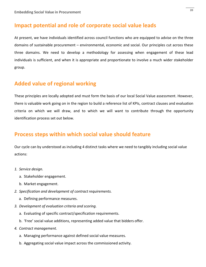### **Impact potential and role of corporate social value leads**

At present, we have individuals identified across council functions who are equipped to advise on the three domains of sustainable procurement – environmental, economic and social. Our principles cut across these three domains. We need to develop a methodology for assessing when engagement of these lead individuals is sufficient, and when it is appropriate and proportionate to involve a much wider stakeholder group.

## **Added value of regional working**

These principles are locally adopted and must form the basis of our local Social Value assessment. However, there is valuable work going on in the region to build a reference list of KPIs, contract clauses and evaluation criteria on which we will draw, and to which we will want to contribute through the opportunity identification process set out below.

## **Process steps within which social value should feature**

Our cycle can by understood as including 4 distinct tasks where we need to tangibly including social value actions:

- *1. Service design.*
	- a. Stakeholder engagement.
	- b. Market engagement.
- *2. Specification and development of contract requirements.*
	- a. Defining performance measures.
- *3. Development of evaluation criteria and scoring.*
	- a. Evaluating of specific contract/specification requirements.
	- b. 'Free' social value additions, representing added value that bidders offer.
- *4. Contract management.*
	- a. Managing performance against defined social value measures.
	- b. Aggregating social value impact across the commissioned activity.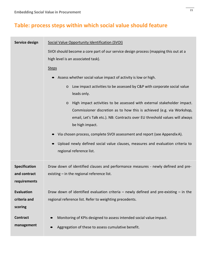## **Table: process steps within which social value should feature**

#### Service design Social Value Opportunity Identification (SVOI)

SVOI should become a core part of our service design process (mapping this out at a high level is an associated task).

#### Steps

- Assess whether social value impact of activity is low or high.
	- o Low impact activities to be assessed by C&P with corporate social value leads only.
	- o High impact activities to be assessed with external stakeholder impact. Commissioner discretion as to how this is achieved (e.g. via Workshop, email, Let's Talk etc.). NB: Contracts over EU threshold values will always be high impact.
- Via chosen process, complete SVOI assessment and report (see Appendix A).
- Upload newly defined social value clauses, measures and evaluation criteria to regional reference list.

| <b>Specification</b> | Draw down of identified clauses and performance measures - newly defined and pre-         |
|----------------------|-------------------------------------------------------------------------------------------|
| and contract         | existing $-$ in the regional reference list.                                              |
| requirements         |                                                                                           |
| Evaluation           | Draw down of identified evaluation criteria $-$ newly defined and pre-existing $-$ in the |
| criteria and         | regional reference list. Refer to weighting precedents.                                   |
| scoring              |                                                                                           |
| <b>Contract</b>      | Monitoring of KPIs designed to assess intended social value impact.<br>$\bullet$          |
| management           | Aggregation of these to assess cumulative benefit.<br>$\bullet$                           |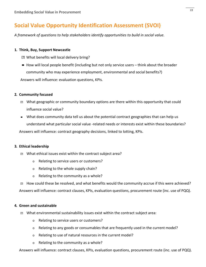## **Social Value Opportunity Identification Assessment (SVOI)**

*A framework of questions to help stakeholders identify opportunities to build in social value.*

#### **1. Think, Buy, Support Newcastle**

- What benefits will local delivery bring?
- How will local people benefit (including but not only service users think about the broader community who may experience employment, environmental and social benefits?) Answers will influence: evaluation questions, KPIs.

#### **2. Community focused**

- What geographic or community boundary options are there within this opportunity that could influence social value?
- What does community data tell us about the potential contract geographies that can help us understand what particular social value -related needs or interests exist within these boundaries?

Answers will influence: contract geography decisions, linked to lotting, KPIs.

#### **3. Ethical leadership**

- What ethical issues exist within the contract subject area?
	- o Relating to service users or customers?
	- o Relating to the whole supply chain?
	- o Relating to the community as a whole?

**E** How could these be resolved, and what benefits would the community accrue if this were achieved? Answers will influence: contract clauses, KPIs, evaluation questions, procurement route (inc. use of PQQ).

#### **4. Green and sustainable**

- What environmental sustainability issues exist within the contract subject area:
	- o Relating to service users or customers?
	- $\circ$  Relating to any goods or consumables that are frequently used in the current model?
	- o Relating to use of natural resources in the current model?
	- o Relating to the community as a whole?

Answers will influence: contract clauses, KPIs, evaluation questions, procurement route (inc. use of PQQ).